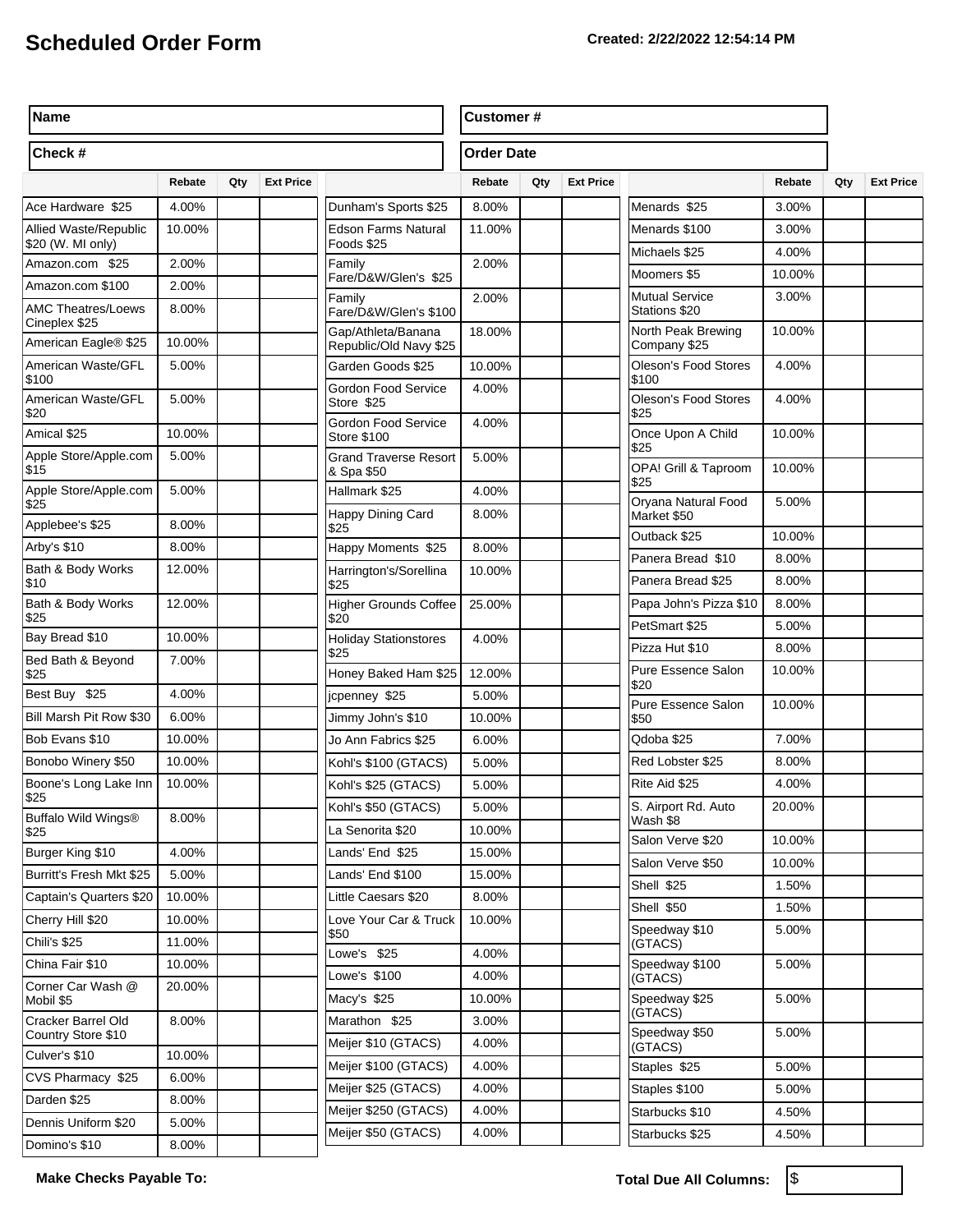| Name                                       |        |     |                  |                                              |                 | <b>Customer#</b> |                  |                                         |                |     |                  |
|--------------------------------------------|--------|-----|------------------|----------------------------------------------|-----------------|------------------|------------------|-----------------------------------------|----------------|-----|------------------|
| Check #                                    |        |     |                  | <b>Order Date</b>                            |                 |                  |                  |                                         |                |     |                  |
|                                            | Rebate | Qty | <b>Ext Price</b> |                                              | Rebate          | Qty              | <b>Ext Price</b> |                                         | Rebate         | Qty | <b>Ext Price</b> |
| Ace Hardware \$25                          | 4.00%  |     |                  | Dunham's Sports \$25                         | 8.00%           |                  |                  | Menards \$25                            | 3.00%          |     |                  |
| Allied Waste/Republic<br>\$20 (W. MI only) | 10.00% |     |                  | Edson Farms Natural<br>Foods \$25            | 11.00%          |                  |                  | Menards \$100                           | 3.00%          |     |                  |
| Amazon.com \$25                            | 2.00%  |     |                  | Family                                       | 2.00%           |                  |                  | Michaels \$25                           | 4.00%          |     |                  |
| Amazon.com \$100                           | 2.00%  |     |                  | Fare/D&W/Glen's \$25                         |                 |                  |                  | Moomers \$5                             | 10.00%         |     |                  |
| <b>AMC Theatres/Loews</b><br>Cineplex \$25 | 8.00%  |     |                  | Family<br>Fare/D&W/Glen's \$100              | 2.00%           |                  |                  | <b>Mutual Service</b><br>Stations \$20  | 3.00%          |     |                  |
| American Eagle® \$25                       | 10.00% |     |                  | Gap/Athleta/Banana<br>Republic/Old Navy \$25 | 18.00%          |                  |                  | North Peak Brewing<br>Company \$25      | 10.00%         |     |                  |
| American Waste/GFL<br>\$100                | 5.00%  |     |                  | Garden Goods \$25                            | 10.00%          |                  |                  | <b>Oleson's Food Stores</b><br>\$100    | 4.00%          |     |                  |
| American Waste/GFL<br>\$20                 | 5.00%  |     |                  | Gordon Food Service<br>Store \$25            | 4.00%           |                  |                  | <b>Oleson's Food Stores</b><br>\$25     | 4.00%          |     |                  |
| Amical \$25                                | 10.00% |     |                  | Gordon Food Service<br><b>Store \$100</b>    | 4.00%           |                  |                  | Once Upon A Child<br>\$25               | 10.00%         |     |                  |
| Apple Store/Apple.com<br>\$15              | 5.00%  |     |                  | <b>Grand Traverse Resort</b><br>& Spa \$50   | 5.00%           |                  |                  | OPA! Grill & Taproom                    | 10.00%         |     |                  |
| Apple Store/Apple.com<br>\$25              | 5.00%  |     |                  | Hallmark \$25                                | 4.00%<br>8.00%  |                  |                  | \$25<br>Oryana Natural Food             | 5.00%          |     |                  |
| Applebee's \$25                            | 8.00%  |     |                  | Happy Dining Card<br>\$25                    |                 |                  |                  | Market \$50<br>Outback \$25             | 10.00%         |     |                  |
| Arby's \$10                                | 8.00%  |     |                  | Happy Moments \$25                           | 8.00%           |                  |                  | Panera Bread \$10                       | 8.00%          |     |                  |
| Bath & Body Works                          | 12.00% |     |                  | Harrington's/Sorellina                       | 10.00%          |                  |                  | Panera Bread \$25                       | 8.00%          |     |                  |
| \$10<br>Bath & Body Works                  | 12.00% |     |                  | \$25                                         |                 |                  |                  |                                         |                |     |                  |
| \$25                                       |        |     |                  | Higher Grounds Coffee<br>\$20                | 25.00%          |                  |                  | Papa John's Pizza \$10<br>PetSmart \$25 | 8.00%<br>5.00% |     |                  |
| Bay Bread \$10                             | 10.00% |     |                  | <b>Holiday Stationstores</b>                 | 4.00%           |                  |                  | Pizza Hut \$10                          | 8.00%          |     |                  |
| Bed Bath & Beyond<br>\$25                  | 7.00%  |     |                  | \$25<br>Honey Baked Ham \$25                 | 12.00%          |                  |                  | Pure Essence Salon                      | 10.00%         |     |                  |
| Best Buy \$25                              | 4.00%  |     |                  | jcpenney \$25                                | 5.00%           |                  |                  | \$20                                    |                |     |                  |
| Bill Marsh Pit Row \$30                    | 6.00%  |     |                  | Jimmy John's \$10                            | 10.00%          |                  |                  | Pure Essence Salon<br>\$50              | 10.00%         |     |                  |
| Bob Evans \$10                             | 10.00% |     |                  | Jo Ann Fabrics \$25                          | 6.00%           |                  |                  | Qdoba \$25                              | 7.00%          |     |                  |
| Bonobo Winery \$50                         | 10.00% |     |                  | Kohl's \$100 (GTACS)                         | 5.00%           |                  |                  | Red Lobster \$25                        | 8.00%          |     |                  |
| Boone's Long Lake Inn<br>\$25              | 10.00% |     |                  | Kohl's \$25 (GTACS)                          | 5.00%           |                  |                  | Rite Aid \$25                           | 4.00%          |     |                  |
| Buffalo Wild Wings®                        | 8.00%  |     |                  | Kohl's \$50 (GTACS)<br>La Senorita \$20      | 5.00%<br>10.00% |                  |                  | S. Airport Rd. Auto<br>Wash \$8         | 20.00%         |     |                  |
| \$25<br>Burger King \$10                   | 4.00%  |     |                  | Lands' End \$25                              | 15.00%          |                  |                  | Salon Verve \$20                        | 10.00%         |     |                  |
| Burritt's Fresh Mkt \$25                   | 5.00%  |     |                  | Lands' End \$100                             | 15.00%          |                  |                  | Salon Verve \$50                        | 10.00%         |     |                  |
| Captain's Quarters \$20                    | 10.00% |     |                  | Little Caesars \$20                          | 8.00%           |                  |                  | Shell \$25                              | 1.50%          |     |                  |
| Cherry Hill \$20                           | 10.00% |     |                  | Love Your Car & Truck                        | 10.00%          |                  |                  | Shell \$50                              | 1.50%          |     |                  |
| Chili's \$25                               | 11.00% |     |                  | \$50                                         |                 |                  |                  | Speedway \$10                           | 5.00%          |     |                  |
| China Fair \$10                            | 10.00% |     |                  | Lowe's \$25                                  | 4.00%           |                  |                  | (GTACS)<br>Speedway \$100               | 5.00%          |     |                  |
|                                            |        |     |                  | Lowe's \$100                                 | 4.00%           |                  |                  | (GTACS)                                 |                |     |                  |
| Corner Car Wash @<br>Mobil \$5             | 20.00% |     |                  | Macy's \$25                                  | 10.00%          |                  |                  | Speedway \$25                           | 5.00%          |     |                  |
| Cracker Barrel Old                         | 8.00%  |     |                  | Marathon \$25                                | 3.00%           |                  |                  | (GTACS)<br>Speedway \$50                | 5.00%          |     |                  |
| Country Store \$10<br>Culver's \$10        | 10.00% |     |                  | Meijer \$10 (GTACS)                          | 4.00%           |                  |                  | (GTACS)                                 |                |     |                  |
| CVS Pharmacy \$25                          | 6.00%  |     |                  | Meijer \$100 (GTACS)                         | 4.00%           |                  |                  | Staples \$25                            | 5.00%          |     |                  |
| Darden \$25                                | 8.00%  |     |                  | Meijer \$25 (GTACS)                          | 4.00%           |                  |                  | Staples \$100                           | 5.00%          |     |                  |
| Dennis Uniform \$20                        | 5.00%  |     |                  | Meijer \$250 (GTACS)                         | 4.00%           |                  |                  | Starbucks \$10                          | 4.50%          |     |                  |
| Domino's \$10                              | 8.00%  |     |                  | Meijer \$50 (GTACS)                          | 4.00%           |                  |                  | Starbucks \$25                          | 4.50%          |     |                  |
|                                            |        |     |                  |                                              |                 |                  |                  |                                         |                |     |                  |

Make Checks Payable To: **Total Due All Columns:**  $\sqrt{\$}$